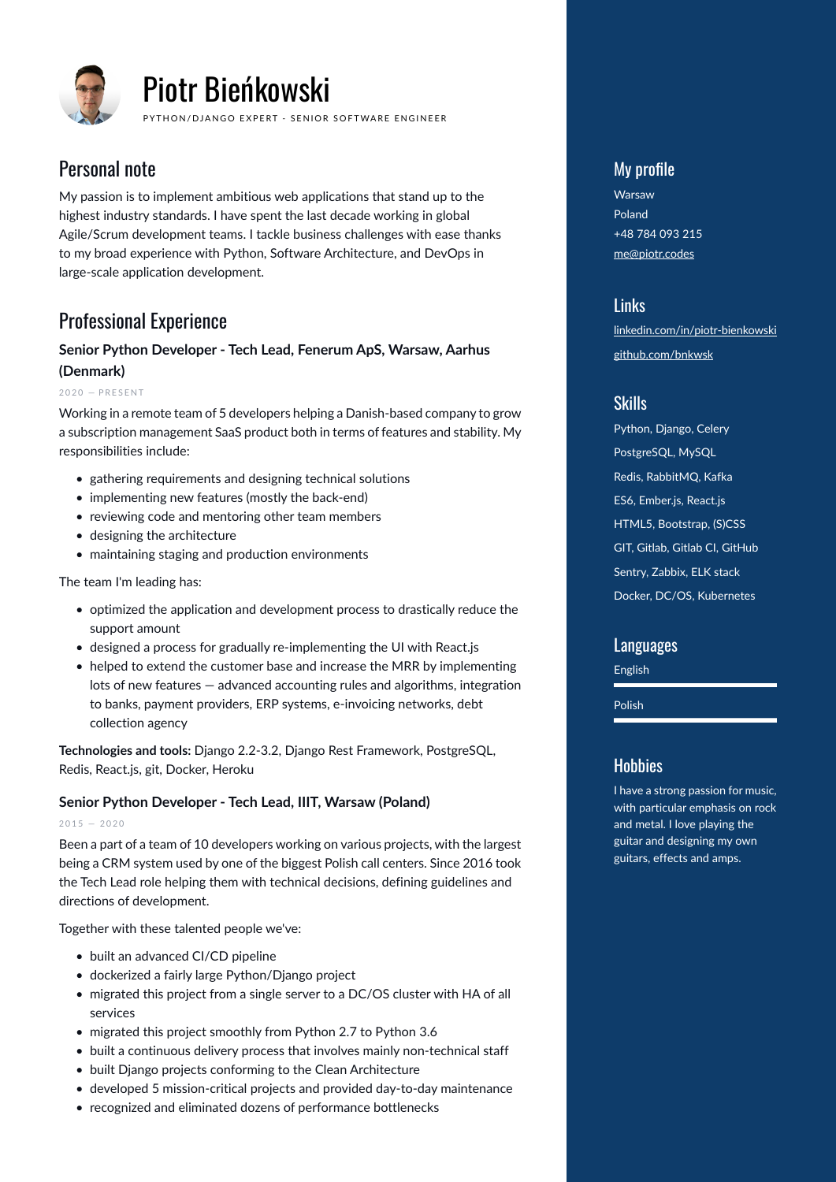

# Piotr Bieńkowski

PYTHON/DJANGO EXPERT - SENIOR SOFTWARE ENGINEER

# Personal note

My passion is to implement ambitious web applications that stand up to the highest industry standards. I have spent the last decade working in global Agile/Scrum development teams. I tackle business challenges with ease thanks to my broad experience with Python, Software Architecture, and DevOps in large-scale application development.

# Professional Experience

## **Senior Python Developer - Tech Lead, Fenerum ApS, Warsaw, Aarhus (Denmark)**

 $2020 - PRESENT$ 

Working in a remote team of 5 developers helping a Danish-based company to grow a subscription management SaaS product both in terms of features and stability. My responsibilities include:

- gathering requirements and designing technical solutions
- implementing new features (mostly the back-end)
- reviewing code and mentoring other team members
- designing the architecture
- maintaining staging and production environments

The team I'm leading has:

- optimized the application and development process to drastically reduce the support amount
- designed a process for gradually re-implementing the UI with React.js
- helped to extend the customer base and increase the MRR by implementing lots of new features — advanced accounting rules and algorithms, integration to banks, payment providers, ERP systems, e-invoicing networks, debt collection agency

**Technologies and tools:** Django 2.2-3.2, Django Rest Framework, PostgreSQL, Redis, React.js, git, Docker, Heroku

#### **Senior Python Developer - Tech Lead, IIIT, Warsaw (Poland)**

 $2015 - 2020$ 

Been a part of a team of 10 developers working on various projects, with the largest being a CRM system used by one of the biggest Polish call centers. Since 2016 took the Tech Lead role helping them with technical decisions, defining guidelines and directions of development.

Together with these talented people we've:

- built an advanced CI/CD pipeline
- dockerized a fairly large Python/Django project
- migrated this project from a single server to a DC/OS cluster with HA of all services
- migrated this project smoothly from Python 2.7 to Python 3.6
- built a continuous delivery process that involves mainly non-technical staff
- built Django projects conforming to the Clean Architecture
- developed 5 mission-critical projects and provided day-to-day maintenance
- recognized and eliminated dozens of performance bottlenecks

## My profile

Warsaw Poland +48 784 093 215 [me@piotr.codes](mailto:me@piotr.codes)

#### Links

[linkedin.com/in/piotr-bienkowski](https://www.linkedin.com/in/pbie%C5%84kowski) [github.com/bnkwsk](https://github.com/bnkwsk)

## **Skills**

Python, Django, Celery PostgreSQL, MySQL Redis, RabbitMQ, Kafka ES6, Ember.js, React.js HTML5, Bootstrap, (S)CSS GIT, Gitlab, Gitlab CI, GitHub Sentry, Zabbix, ELK stack Docker, DC/OS, Kubernetes

#### Languages

English

Polish

## **Hobbies**

I have a strong passion for music, with particular emphasis on rock and metal. I love playing the guitar and designing my own guitars, effects and amps.